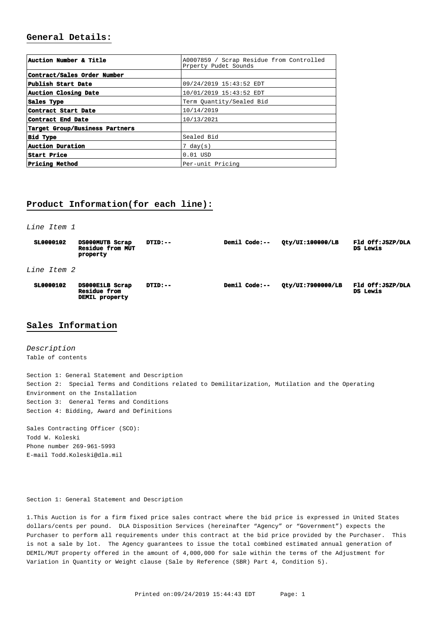# **General Details:**

| Auction Number & Title         | A0007859 / Scrap Residue from Controlled<br>Prperty Pudet Sounds |  |  |
|--------------------------------|------------------------------------------------------------------|--|--|
| Contract/Sales Order Number    |                                                                  |  |  |
| Publish Start Date             | 09/24/2019 15:43:52 EDT                                          |  |  |
| Auction Closing Date           | 10/01/2019 15:43:52 EDT                                          |  |  |
| Sales Type                     | Term Ouantity/Sealed Bid                                         |  |  |
| Contract Start Date            | 10/14/2019                                                       |  |  |
| Contract End Date              | 10/13/2021                                                       |  |  |
| Target Group/Business Partners |                                                                  |  |  |
| <b>Bid Type</b>                | Sealed Bid                                                       |  |  |
| Auction Duration               | $7 \text{ day}(s)$                                               |  |  |
| <b>Start Price</b>             | $0.01$ USD                                                       |  |  |
| <b>Pricing Method</b>          | Per-unit Pricing                                                 |  |  |

# **Product Information(for each line):**

Line Item 1

| SL0000102          | DS000MUTB Scrap<br><b>Residue from MUT</b><br>property   | $DTID:-$ | <b>Demil Code:--</b> | Oty/UI:100000/LB  | Fld Off: JSZP/DLA<br>DS Lewis |
|--------------------|----------------------------------------------------------|----------|----------------------|-------------------|-------------------------------|
| <i>Line Item 2</i> |                                                          |          |                      |                   |                               |
| SL0000102          | DS000E1LB Scrap<br><b>Residue from</b><br>DEMIL property | DTID:--  | <b>Demil Code:--</b> | Qty/UI:7900000/LB | Fld Off: JSZP/DLA<br>DS Lewis |

## **Sales Information**

Description Table of contents

Section 1: General Statement and Description Section 2: Special Terms and Conditions related to Demilitarization, Mutilation and the Operating Environment on the Installation Section 3: General Terms and Conditions Section 4: Bidding, Award and Definitions

Sales Contracting Officer (SCO): Todd W. Koleski Phone number 269-961-5993 E-mail [Todd.Koleski@dla.mil](mailto:Todd.Koleski@dla.mil) 

Section 1: General Statement and Description

1. This Auction is for a firm fixed price sales contract where the bid price is expressed in United States dollars/cents per pound. DLA Disposition Services (hereinafter "Agency" or "Government") expects the Purchaser to perform all requirements under this contract at the bid price provided by the Purchaser. This is not a sale by lot. The Agency guarantees to issue the total combined estimated annual generation of DEMIL/MUT property offered in the amount of 4,000,000 for sale within the terms of the Adjustment for Variation in Quantity or Weight clause (Sale by Reference (SBR) Part 4, Condition 5).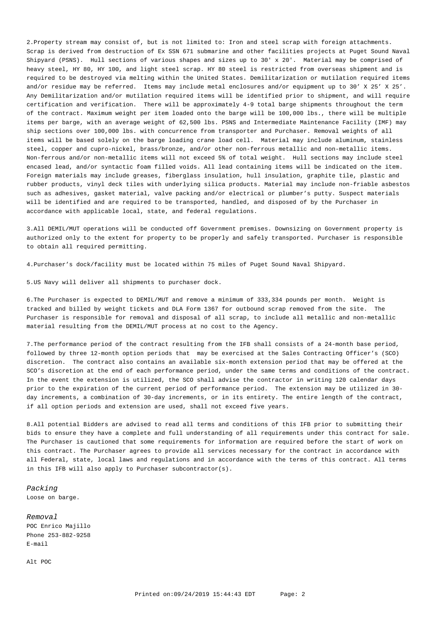2. Property stream may consist of, but is not limited to: Iron and steel scrap with foreign attachments. Scrap is derived from destruction of Ex SSN 671 submarine and other facilities projects at Puget Sound Naval Shipyard (PSNS). Hull sections of various shapes and sizes up to 30' x 20'. Material may be comprised of heavy steel, HY 80, HY 100, and light steel scrap. HY 80 steel is restricted from overseas shipment and is required to be destroyed via melting within the United States. Demilitarization or mutilation required items and/or residue may be referred. Items may include metal enclosures and/or equipment up to 30' X 25' X 25'. Any Demilitarization and/or mutilation required items will be identified prior to shipment, and will require certification and verification. There will be approximately 4-9 total barge shipments throughout the term of the contract. Maximum weight per item loaded onto the barge will be 100,000 lbs., there will be multiple items per barge, with an average weight of 62,500 lbs. PSNS and Intermediate Maintenance Facility (IMF) may ship sections over 100,000 lbs. with concurrence from transporter and Purchaser. Removal weights of all items will be based solely on the barge loading crane load cell. Material may include aluminum, stainless steel, copper and cupro-nickel, brass/bronze, and/or other non-ferrous metallic and non-metallic items. Non-ferrous and/or non-metallic items will not exceed 5% of total weight. Hull sections may include steel encased lead, and/or syntactic foam filled voids. All lead containing items will be indicated on the item. Foreign materials may include greases, fiberglass insulation, hull insulation, graphite tile, plastic and rubber products, vinyl deck tiles with underlying silica products. Material may include non-friable asbestos such as adhesives, gasket material, valve packing and/or electrical or plumber's putty. Suspect materials will be identified and are required to be transported, handled, and disposed of by the Purchaser in accordance with applicable local, state, and federal regulations.

3. All DEMIL/MUT operations will be conducted off Government premises. Downsizing on Government property is authorized only to the extent for property to be properly and safely transported. Purchaser is responsible to obtain all required permitting.

4. Purchaser's dock/facility must be located within 75 miles of Puget Sound Naval Shipyard.

5. US Navy will deliver all shipments to purchaser dock.

6. The Purchaser is expected to DEMIL/MUT and remove a minimum of 333,334 pounds per month. Weight is tracked and billed by weight tickets and DLA Form 1367 for outbound scrap removed from the site. The Purchaser is responsible for removal and disposal of all scrap, to include all metallic and non-metallic material resulting from the DEMIL/MUT process at no cost to the Agency. 

7. The performance period of the contract resulting from the IFB shall consists of a 24-month base period, followed by three 12-month option periods that may be exercised at the Sales Contracting Officer's (SCO) discretion. The contract also contains an available six-month extension period that may be offered at the SCO's discretion at the end of each performance period, under the same terms and conditions of the contract. In the event the extension is utilized, the SCO shall advise the contractor in writing 120 calendar days prior to the expiration of the current period of performance period. The extension may be utilized in 30 day increments, a combination of 30-day increments, or in its entirety. The entire length of the contract, if all option periods and extension are used, shall not exceed five years.

8. All potential Bidders are advised to read all terms and conditions of this IFB prior to submitting their bids to ensure they have a complete and full understanding of all requirements under this contract for sale. The Purchaser is cautioned that some requirements for information are required before the start of work on this contract. The Purchaser agrees to provide all services necessary for the contract in accordance with all Federal, state, local laws and regulations and in accordance with the terms of this contract. All terms in this IFB will also apply to Purchaser subcontractor(s).

Packing Loose on barge.

Removal POC Enrico Majillo Phone 253-882-9258 E-mail

Alt POC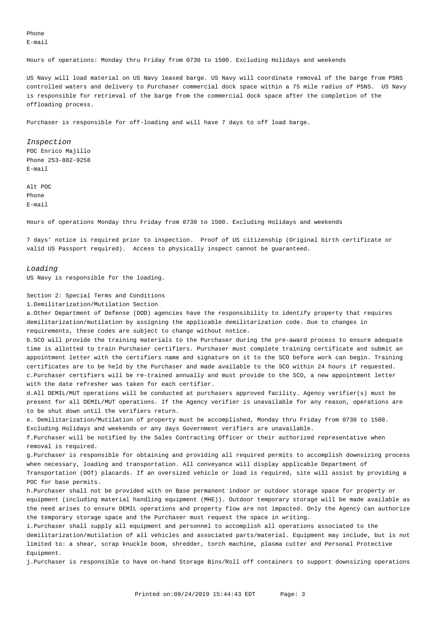Phone E-mail

Hours of operations: Monday thru Friday from 0730 to 1500. Excluding Holidays and weekends

US Navy will load material on US Navy leased barge. US Navy will coordinate removal of the barge from PSNS controlled waters and delivery to Purchaser commercial dock space within a 75 mile radius of PSNS. US Navy is responsible for retrieval of the barge from the commercial dock space after the completion of the offloading process.

Purchaser is responsible for off-loading and will have 7 days to off load barge.

Inspection POC Enrico Majillo Phone 253-882-9258 E-mail 

Alt POC Phone E-mail

Hours of operations Monday thru Friday from 0730 to 1500. Excluding Holidays and weekends

7 days' notice is required prior to inspection. Proof of US citizenship (Original birth certificate or valid US Passport required). Access to physically inspect cannot be guaranteed.

#### Loading

US Navy is responsible for the loading.

Section 2: Special Terms and Conditions

1. Demilitarization/Mutilation Section

a. Other Department of Defense (DOD) agencies have the responsibility to identify property that requires demilitarization/mutilation by assigning the applicable demilitarization code. Due to changes in requirements, these codes are subject to change without notice.

b. SCO will provide the training materials to the Purchaser during the pre-award process to ensure adequate time is allotted to train Purchaser certifiers. Purchaser must complete training certificate and submit an appointment letter with the certifiers name and signature on it to the SCO before work can begin. Training certificates are to be held by the Purchaser and made available to the SCO within 24 hours if requested. c. Purchaser certifiers will be re-trained annually and must provide to the SCO, a new appointment letter with the date refresher was taken for each certifier.

d. All DEMIL/MUT operations will be conducted at purchasers approved facility. Agency verifier(s) must be present for all DEMIL/MUT operations. If the Agency verifier is unavailable for any reason, operations are to be shut down until the verifiers return.

e. Demilitarization/Mutilation of property must be accomplished, Monday thru Friday from 0730 to 1500. Excluding Holidays and weekends or any days Government verifiers are unavailable.

f. Purchaser will be notified by the Sales Contracting Officer or their authorized representative when removal is required.

g. Purchaser is responsible for obtaining and providing all required permits to accomplish downsizing process when necessary, loading and transportation. All conveyance will display applicable Department of Transportation (DOT) placards. If an oversized vehicle or load is required, site will assist by providing a POC for base permits.

h. Purchaser shall not be provided with on Base permanent indoor or outdoor storage space for property or equipment (including material handling equipment (MHE)). Outdoor temporary storage will be made available as the need arises to ensure DEMIL operations and property flow are not impacted. Only the Agency can authorize the temporary storage space and the Purchaser must request the space in writing.

i. Purchaser shall supply all equipment and personnel to accomplish all operations associated to the demilitarization/mutilation of all vehicles and associated parts/material. Equipment may include, but is not limited to: a shear, scrap knuckle boom, shredder, torch machine, plasma cutter and Personal Protective Equipment.

j. Purchaser is responsible to have on-hand Storage Bins/Roll off containers to support downsizing operations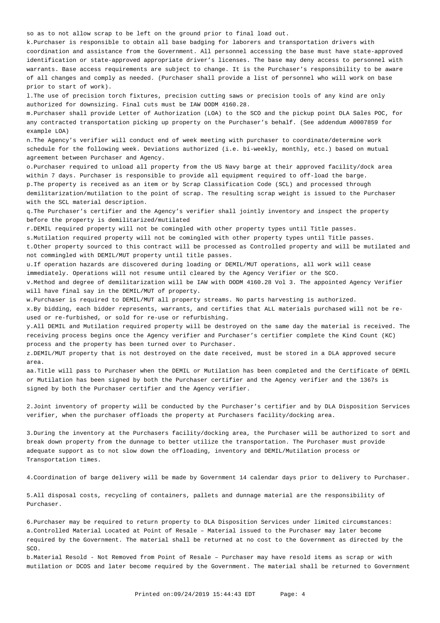so as to not allow scrap to be left on the ground prior to final load out.

k. Purchaser is responsible to obtain all base badging for laborers and transportation drivers with coordination and assistance from the Government. All personnel accessing the base must have state-approved identification or state-approved appropriate driver's licenses. The base may deny access to personnel with warrants. Base access requirements are subject to change. It is the Purchaser's responsibility to be aware of all changes and comply as needed. (Purchaser shall provide a list of personnel who will work on base prior to start of work).

1. The use of precision torch fixtures, precision cutting saws or precision tools of any kind are only authorized for downsizing. Final cuts must be IAW DODM 4160.28.

m. Purchaser shall provide Letter of Authorization (LOA) to the SCO and the pickup point DLA Sales POC, for any contracted transportation picking up property on the Purchaser's behalf. (See addendum A0007859 for example LOA)

n. The Agency's verifier will conduct end of week meeting with purchaser to coordinate/determine work schedule for the following week. Deviations authorized (i.e. bi-weekly, monthly, etc.) based on mutual agreement between Purchaser and Agency.

o. Purchaser required to unload all property from the US Navy barge at their approved facility/dock area within 7 days. Purchaser is responsible to provide all equipment required to off-load the barge. p. The property is received as an item or by Scrap Classification Code (SCL) and processed through demilitarization/mutilation to the point of scrap. The resulting scrap weight is issued to the Purchaser with the SCL material description.

q. The Purchaser's certifier and the Agency's verifier shall jointly inventory and inspect the property before the property is demilitarized/mutilated

r. DEMIL required property will not be comingled with other property types until Title passes.

s. Mutilation required property will not be comingled with other property types until Title passes.

t. Other property sourced to this contract will be processed as Controlled property and will be mutilated and not commingled with DEMIL/MUT property until title passes.

u. If operation hazards are discovered during loading or DEMIL/MUT operations, all work will cease immediately. Operations will not resume until cleared by the Agency Verifier or the SCO.

v. Method and degree of demilitarization will be IAW with DODM 4160.28 Vol 3. The appointed Agency Verifier will have final say in the DEMIL/MUT of property.

w. Purchaser is required to DEMIL/MUT all property streams. No parts harvesting is authorized. x. By bidding, each bidder represents, warrants, and certifies that ALL materials purchased will not be reused or re-furbished, or sold for re-use or refurbishing.

y. All DEMIL and Mutilation required property will be destroyed on the same day the material is received. The receiving process begins once the Agency verifier and Purchaser's certifier complete the Kind Count (KC) process and the property has been turned over to Purchaser.

z. DEMIL/MUT property that is not destroyed on the date received, must be stored in a DLA approved secure area.

aa. Title will pass to Purchaser when the DEMIL or Mutilation has been completed and the Certificate of DEMIL or Mutilation has been signed by both the Purchaser certifier and the Agency verifier and the 1367s is signed by both the Purchaser certifier and the Agency verifier.

2. Joint inventory of property will be conducted by the Purchaser's certifier and by DLA Disposition Services verifier, when the purchaser offloads the property at Purchasers facility/docking area.

3. During the inventory at the Purchasers facility/docking area, the Purchaser will be authorized to sort and break down property from the dunnage to better utilize the transportation. The Purchaser must provide adequate support as to not slow down the offloading, inventory and DEMIL/Mutilation process or Transportation times.

4. Coordination of barge delivery will be made by Government 14 calendar days prior to delivery to Purchaser.

5. All disposal costs, recycling of containers, pallets and dunnage material are the responsibility of Purchaser.

6. Purchaser may be required to return property to DLA Disposition Services under limited circumstances: a. Controlled Material Located at Point of Resale - Material issued to the Purchaser may later become required by the Government. The material shall be returned at no cost to the Government as directed by the SCO.

b. Material Resold - Not Removed from Point of Resale – Purchaser may have resold items as scrap or with mutilation or DCOS and later become required by the Government. The material shall be returned to Government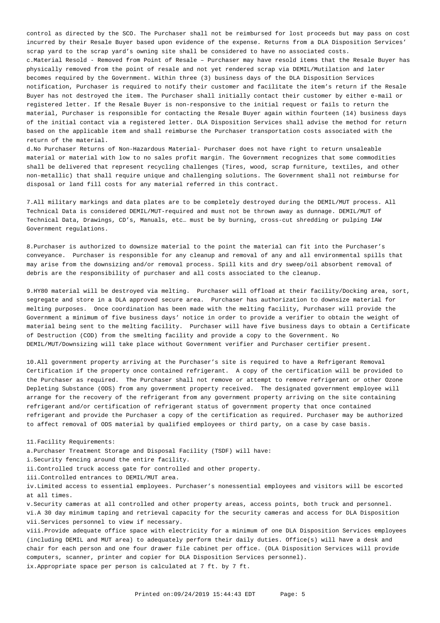control as directed by the SCO. The Purchaser shall not be reimbursed for lost proceeds but may pass on cost incurred by their Resale Buyer based upon evidence of the expense. Returns from a DLA Disposition Services' scrap yard to the scrap yard's owning site shall be considered to have no associated costs. c. Material Resold - Removed from Point of Resale – Purchaser may have resold items that the Resale Buyer has physically removed from the point of resale and not yet rendered scrap via DEMIL/Mutilation and later becomes required by the Government. Within three (3) business days of the DLA Disposition Services notification, Purchaser is required to notify their customer and facilitate the item's return if the Resale Buyer has not destroyed the item. The Purchaser shall initially contact their customer by either e-mail or registered letter. If the Resale Buyer is non-responsive to the initial request or fails to return the material, Purchaser is responsible for contacting the Resale Buyer again within fourteen (14) business days of the initial contact via a registered letter. DLA Disposition Services shall advise the method for return based on the applicable item and shall reimburse the Purchaser transportation costs associated with the return of the material.

d. No Purchaser Returns of Non-Hazardous Material- Purchaser does not have right to return unsaleable material or material with low to no sales profit margin. The Government recognizes that some commodities shall be delivered that represent recycling challenges (Tires, wood, scrap furniture, textiles, and other non-metallic) that shall require unique and challenging solutions. The Government shall not reimburse for disposal or land fill costs for any material referred in this contract.

7. All military markings and data plates are to be completely destroyed during the DEMIL/MUT process. All Technical Data is considered DEMIL/MUT-required and must not be thrown away as dunnage. DEMIL/MUT of Technical Data, Drawings, CD's, Manuals, etc… must be by burning, cross-cut shredding or pulping IAW Government regulations.

8. Purchaser is authorized to downsize material to the point the material can fit into the Purchaser's conveyance. Purchaser is responsible for any cleanup and removal of any and all environmental spills that may arise from the downsizing and/or removal process. Spill kits and dry sweep/oil absorbent removal of debris are the responsibility of purchaser and all costs associated to the cleanup.

9. HY80 material will be destroyed via melting. Purchaser will offload at their facility/Docking area, sort, segregate and store in a DLA approved secure area. Purchaser has authorization to downsize material for melting purposes. Once coordination has been made with the melting facility, Purchaser will provide the Government a minimum of five business days' notice in order to provide a verifier to obtain the weight of material being sent to the melting facility. Purchaser will have five business days to obtain a Certificate of Destruction (COD) from the smelting facility and provide a copy to the Government. No DEMIL/MUT/Downsizing will take place without Government verifier and Purchaser certifier present.

10. All government property arriving at the Purchaser's site is required to have a Refrigerant Removal Certification if the property once contained refrigerant. A copy of the certification will be provided to the Purchaser as required. The Purchaser shall not remove or attempt to remove refrigerant or other Ozone Depleting Substance (ODS) from any government property received. The designated government employee will arrange for the recovery of the refrigerant from any government property arriving on the site containing refrigerant and/or certification of refrigerant status of government property that once contained refrigerant and provide the Purchaser a copy of the certification as required. Purchaser may be authorized to affect removal of ODS material by qualified employees or third party, on a case by case basis.

11. Facility Requirements:

a. Purchaser Treatment Storage and Disposal Facility (TSDF) will have:

i. Security fencing around the entire facility.

ii. Controlled truck access gate for controlled and other property.

iii. Controlled entrances to DEMIL/MUT area.

iv. Limited access to essential employees. Purchaser's nonessential employees and visitors will be escorted at all times.

v. Security cameras at all controlled and other property areas, access points, both truck and personnel. vi. A 30 day minimum taping and retrieval capacity for the security cameras and access for DLA Disposition vii. Services personnel to view if necessary.

viii. Provide adequate office space with electricity for a minimum of one DLA Disposition Services employees (including DEMIL and MUT area) to adequately perform their daily duties. Office(s) will have a desk and chair for each person and one four drawer file cabinet per office. (DLA Disposition Services will provide computers, scanner, printer and copier for DLA Disposition Services personnel). ix. Appropriate space per person is calculated at 7 ft. by 7 ft.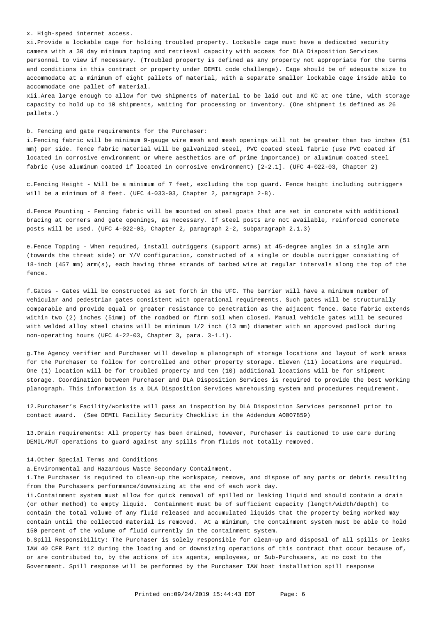x. High-speed internet access.

xi. Provide a lockable cage for holding troubled property. Lockable cage must have a dedicated security camera with a 30 day minimum taping and retrieval capacity with access for DLA Disposition Services personnel to view if necessary. (Troubled property is defined as any property not appropriate for the terms and conditions in this contract or property under DEMIL code challenge). Cage should be of adequate size to accommodate at a minimum of eight pallets of material, with a separate smaller lockable cage inside able to accommodate one pallet of material.

xii. Area large enough to allow for two shipments of material to be laid out and KC at one time, with storage capacity to hold up to 10 shipments, waiting for processing or inventory. (One shipment is defined as 26 pallets.)

b. Fencing and gate requirements for the Purchaser:

i. Fencing fabric will be minimum 9-gauge wire mesh and mesh openings will not be greater than two inches (51 mm) per side. Fence fabric material will be galvanized steel, PVC coated steel fabric (use PVC coated if located in corrosive environment or where aesthetics are of prime importance) or aluminum coated steel fabric (use aluminum coated if located in corrosive environment) [2-2.1]. (UFC 4-022-03, Chapter 2)

c. Fencing Height - Will be a minimum of 7 feet, excluding the top guard. Fence height including outriggers will be a minimum of 8 feet. (UFC 4-033-03, Chapter 2, paragraph 2-8).

d. Fence Mounting - Fencing fabric will be mounted on steel posts that are set in concrete with additional bracing at corners and gate openings, as necessary. If steel posts are not available, reinforced concrete posts will be used. (UFC 4-022-03, Chapter 2, paragraph 2-2, subparagraph 2.1.3)

e. Fence Topping - When required, install outriggers (support arms) at 45-degree angles in a single arm (towards the threat side) or Y/V configuration, constructed of a single or double outrigger consisting of 18-inch (457 mm) arm(s), each having three strands of barbed wire at regular intervals along the top of the fence.

f. Gates - Gates will be constructed as set forth in the UFC. The barrier will have a minimum number of vehicular and pedestrian gates consistent with operational requirements. Such gates will be structurally comparable and provide equal or greater resistance to penetration as the adjacent fence. Gate fabric extends within two (2) inches (51mm) of the roadbed or firm soil when closed. Manual vehicle gates will be secured with welded alloy steel chains will be minimum 1/2 inch (13 mm) diameter with an approved padlock during non-operating hours (UFC 4-22-03, Chapter 3, para. 3-1.1).

g. The Agency verifier and Purchaser will develop a planograph of storage locations and layout of work areas for the Purchaser to follow for controlled and other property storage. Eleven (11) locations are required. One (1) location will be for troubled property and ten (10) additional locations will be for shipment storage. Coordination between Purchaser and DLA Disposition Services is required to provide the best working planograph. This information is a DLA Disposition Services warehousing system and procedures requirement.

12. Purchaser's Facility/worksite will pass an inspection by DLA Disposition Services personnel prior to contact award. (See DEMIL Facility Security Checklist in the Addendum A0007859)

13. Drain requirements: All property has been drained, however, Purchaser is cautioned to use care during DEMIL/MUT operations to guard against any spills from fluids not totally removed.

## 14. Other Special Terms and Conditions

a. Environmental and Hazardous Waste Secondary Containment.

i. The Purchaser is required to clean-up the workspace, remove, and dispose of any parts or debris resulting from the Purchasers performance/downsizing at the end of each work day.

ii. Containment system must allow for quick removal of spilled or leaking liquid and should contain a drain (or other method) to empty liquid. Containment must be of sufficient capacity (length/width/depth) to contain the total volume of any fluid released and accumulated liquids that the property being worked may contain until the collected material is removed. At a minimum, the containment system must be able to hold 150 percent of the volume of fluid currently in the containment system.

b. Spill Responsibility: The Purchaser is solely responsible for clean-up and disposal of all spills or leaks IAW 40 CFR Part 112 during the loading and or downsizing operations of this contract that occur because of, or are contributed to, by the actions of its agents, employees, or Sub-Purchasers, at no cost to the Government. Spill response will be performed by the Purchaser IAW host installation spill response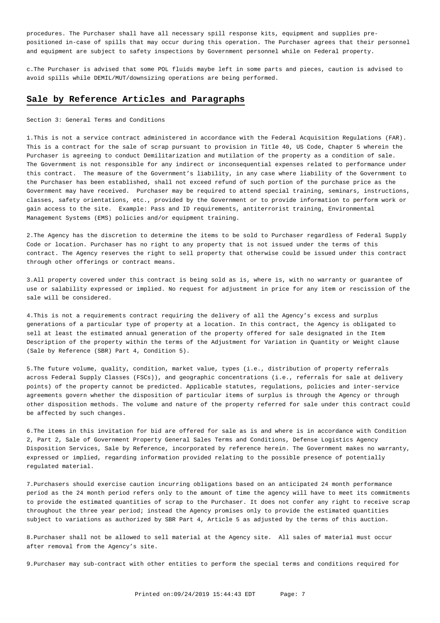procedures. The Purchaser shall have all necessary spill response kits, equipment and supplies prepositioned in-case of spills that may occur during this operation. The Purchaser agrees that their personnel and equipment are subject to safety inspections by Government personnel while on Federal property.

c. The Purchaser is advised that some POL fluids maybe left in some parts and pieces, caution is advised to avoid spills while DEMIL/MUT/downsizing operations are being performed.

## **Sale by Reference Articles and Paragraphs**

Section 3: General Terms and Conditions

1. This is not a service contract administered in accordance with the Federal Acquisition Regulations (FAR). This is a contract for the sale of scrap pursuant to provision in Title 40, US Code, Chapter 5 wherein the Purchaser is agreeing to conduct Demilitarization and mutilation of the property as a condition of sale. The Government is not responsible for any indirect or inconsequential expenses related to performance under this contract. The measure of the Government's liability, in any case where liability of the Government to the Purchaser has been established, shall not exceed refund of such portion of the purchase price as the Government may have received. Purchaser may be required to attend special training, seminars, instructions, classes, safety orientations, etc., provided by the Government or to provide information to perform work or gain access to the site. Example: Pass and ID requirements, antiterrorist training, Environmental Management Systems (EMS) policies and/or equipment training.

2. The Agency has the discretion to determine the items to be sold to Purchaser regardless of Federal Supply Code or location. Purchaser has no right to any property that is not issued under the terms of this contract. The Agency reserves the right to sell property that otherwise could be issued under this contract through other offerings or contract means.

3. All property covered under this contract is being sold as is, where is, with no warranty or guarantee of use or salability expressed or implied. No request for adjustment in price for any item or rescission of the sale will be considered.

4. This is not a requirements contract requiring the delivery of all the Agency's excess and surplus generations of a particular type of property at a location. In this contract, the Agency is obligated to sell at least the estimated annual generation of the property offered for sale designated in the Item Description of the property within the terms of the Adjustment for Variation in Quantity or Weight clause (Sale by Reference (SBR) Part 4, Condition 5).

5. The future volume, quality, condition, market value, types (i.e., distribution of property referrals across Federal Supply Classes (FSCs)), and geographic concentrations (i.e., referrals for sale at delivery points) of the property cannot be predicted. Applicable statutes, regulations, policies and inter-service agreements govern whether the disposition of particular items of surplus is through the Agency or through other disposition methods. The volume and nature of the property referred for sale under this contract could be affected by such changes.

6. The items in this invitation for bid are offered for sale as is and where is in accordance with Condition 2, Part 2, Sale of Government Property General Sales Terms and Conditions, Defense Logistics Agency Disposition Services, Sale by Reference, incorporated by reference herein. The Government makes no warranty, expressed or implied, regarding information provided relating to the possible presence of potentially regulated material.

7. Purchasers should exercise caution incurring obligations based on an anticipated 24 month performance period as the 24 month period refers only to the amount of time the agency will have to meet its commitments to provide the estimated quantities of scrap to the Purchaser. It does not confer any right to receive scrap throughout the three year period; instead the Agency promises only to provide the estimated quantities subject to variations as authorized by SBR Part 4, Article 5 as adjusted by the terms of this auction.

8. Purchaser shall not be allowed to sell material at the Agency site. All sales of material must occur after removal from the Agency's site.

9. Purchaser may sub-contract with other entities to perform the special terms and conditions required for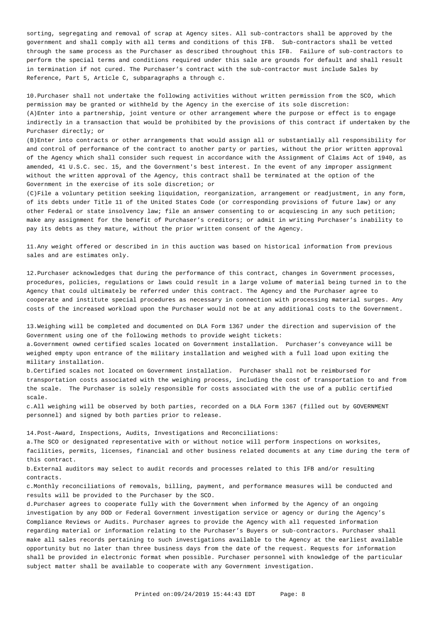sorting, segregating and removal of scrap at Agency sites. All sub-contractors shall be approved by the government and shall comply with all terms and conditions of this IFB. Sub-contractors shall be vetted through the same process as the Purchaser as described throughout this IFB. Failure of sub-contractors to perform the special terms and conditions required under this sale are grounds for default and shall result in termination if not cured. The Purchaser's contract with the sub-contractor must include Sales by Reference, Part 5, Article C, subparagraphs a through c.

10. Purchaser shall not undertake the following activities without written permission from the SCO, which permission may be granted or withheld by the Agency in the exercise of its sole discretion: (A) Enter into a partnership, joint venture or other arrangement where the purpose or effect is to engage indirectly in a transaction that would be prohibited by the provisions of this contract if undertaken by the Purchaser directly; or

(B) Enter into contracts or other arrangements that would assign all or substantially all responsibility for and control of performance of the contract to another party or parties, without the prior written approval of the Agency which shall consider such request in accordance with the Assignment of Claims Act of 1940, as amended, 41 U.S.C. sec. 15, and the Government's best interest. In the event of any improper assignment without the written approval of the Agency, this contract shall be terminated at the option of the Government in the exercise of its sole discretion; or

(C) File a voluntary petition seeking liquidation, reorganization, arrangement or readjustment, in any form, of its debts under Title 11 of the United States Code (or corresponding provisions of future law) or any other Federal or state insolvency law; file an answer consenting to or acquiescing in any such petition; make any assignment for the benefit of Purchaser's creditors; or admit in writing Purchaser's inability to pay its debts as they mature, without the prior written consent of the Agency.

11. Any weight offered or described in in this auction was based on historical information from previous sales and are estimates only.

12. Purchaser acknowledges that during the performance of this contract, changes in Government processes, procedures, policies, regulations or laws could result in a large volume of material being turned in to the Agency that could ultimately be referred under this contract. The Agency and the Purchaser agree to cooperate and institute special procedures as necessary in connection with processing material surges. Any costs of the increased workload upon the Purchaser would not be at any additional costs to the Government.

13. Weighing will be completed and documented on DLA Form 1367 under the direction and supervision of the Government using one of the following methods to provide weight tickets:

a. Government owned certified scales located on Government installation. Purchaser's conveyance will be weighed empty upon entrance of the military installation and weighed with a full load upon exiting the military installation.

b. Certified scales not located on Government installation. Purchaser shall not be reimbursed for transportation costs associated with the weighing process, including the cost of transportation to and from the scale. The Purchaser is solely responsible for costs associated with the use of a public certified scale.

c. All weighing will be observed by both parties, recorded on a DLA Form 1367 (filled out by GOVERNMENT personnel) and signed by both parties prior to release.

14. Post-Award, Inspections, Audits, Investigations and Reconciliations:

a. The SCO or designated representative with or without notice will perform inspections on worksites, facilities, permits, licenses, financial and other business related documents at any time during the term of this contract.

b. External auditors may select to audit records and processes related to this IFB and/or resulting contracts.

c. Monthly reconciliations of removals, billing, payment, and performance measures will be conducted and results will be provided to the Purchaser by the SCO.

d. Purchaser agrees to cooperate fully with the Government when informed by the Agency of an ongoing investigation by any DOD or Federal Government investigation service or agency or during the Agency's Compliance Reviews or Audits. Purchaser agrees to provide the Agency with all requested information regarding material or information relating to the Purchaser's Buyers or sub-contractors. Purchaser shall make all sales records pertaining to such investigations available to the Agency at the earliest available opportunity but no later than three business days from the date of the request. Requests for information shall be provided in electronic format when possible. Purchaser personnel with knowledge of the particular subject matter shall be available to cooperate with any Government investigation.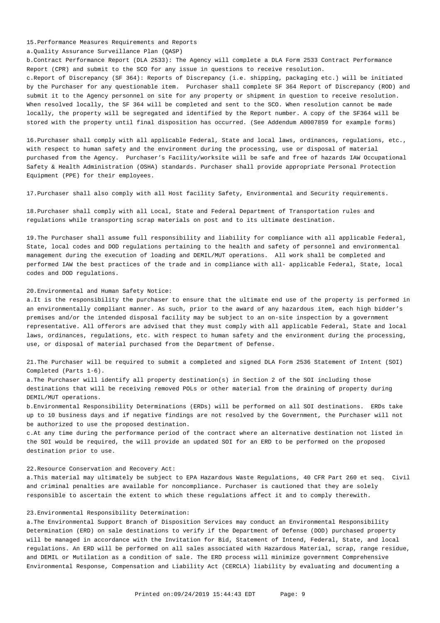15. Performance Measures Requirements and Reports

a. Quality Assurance Surveillance Plan (QASP)

b. Contract Performance Report (DLA 2533): The Agency will complete a DLA Form 2533 Contract Performance Report (CPR) and submit to the SCO for any issue in questions to receive resolution.

c. Report of Discrepancy (SF 364): Reports of Discrepancy (i.e. shipping, packaging etc.) will be initiated by the Purchaser for any questionable item. Purchaser shall complete SF 364 Report of Discrepancy (ROD) and submit it to the Agency personnel on site for any property or shipment in question to receive resolution. When resolved locally, the SF 364 will be completed and sent to the SCO. When resolution cannot be made locally, the property will be segregated and identified by the Report number. A copy of the SF364 will be stored with the property until final disposition has occurred. (See Addendum A0007859 for example forms)

16. Purchaser shall comply with all applicable Federal, State and local laws, ordinances, regulations, etc., with respect to human safety and the environment during the processing, use or disposal of material purchased from the Agency. Purchaser's Facility/worksite will be safe and free of hazards IAW Occupational Safety & Health Administration (OSHA) standards. Purchaser shall provide appropriate Personal Protection Equipment (PPE) for their employees.

17. Purchaser shall also comply with all Host facility Safety, Environmental and Security requirements.

18. Purchaser shall comply with all Local, State and Federal Department of Transportation rules and regulations while transporting scrap materials on post and to its ultimate destination.

19. The Purchaser shall assume full responsibility and liability for compliance with all applicable Federal, State, local codes and DOD regulations pertaining to the health and safety of personnel and environmental management during the execution of loading and DEMIL/MUT operations. All work shall be completed and performed IAW the best practices of the trade and in compliance with all- applicable Federal, State, local codes and DOD regulations.

## 20. Environmental and Human Safety Notice:

a. It is the responsibility the purchaser to ensure that the ultimate end use of the property is performed in an environmentally compliant manner. As such, prior to the award of any hazardous item, each high bidder's premises and/or the intended disposal facility may be subject to an on-site inspection by a government representative. All offerors are advised that they must comply with all applicable Federal, State and local laws, ordinances, regulations, etc. with respect to human safety and the environment during the processing, use, or disposal of material purchased from the Department of Defense.

21. The Purchaser will be required to submit a completed and signed DLA Form 2536 Statement of Intent (SOI) Completed (Parts 1-6).

a. The Purchaser will identify all property destination(s) in Section 2 of the SOI including those destinations that will be receiving removed POLs or other material from the draining of property during DEMIL/MUT operations.

b. Environmental Responsibility Determinations (ERDs) will be performed on all SOI destinations. ERDs take up to 10 business days and if negative findings are not resolved by the Government, the Purchaser will not be authorized to use the proposed destination.

c. At any time during the performance period of the contract where an alternative destination not listed in the SOI would be required, the will provide an updated SOI for an ERD to be performed on the proposed destination prior to use.

22. Resource Conservation and Recovery Act:

a. This material may ultimately be subject to EPA Hazardous Waste Regulations, 40 CFR Part 260 et seq. Civil and criminal penalties are available for noncompliance. Purchaser is cautioned that they are solely responsible to ascertain the extent to which these regulations affect it and to comply therewith.

## 23. Environmental Responsibility Determination:

a. The Environmental Support Branch of Disposition Services may conduct an Environmental Responsibility Determination (ERD) on sale destinations to verify if the Department of Defense (DOD) purchased property will be managed in accordance with the Invitation for Bid, Statement of Intend, Federal, State, and local regulations. An ERD will be performed on all sales associated with Hazardous Material, scrap, range residue, and DEMIL or Mutilation as a condition of sale. The ERD process will minimize government Comprehensive Environmental Response, Compensation and Liability Act (CERCLA) liability by evaluating and documenting a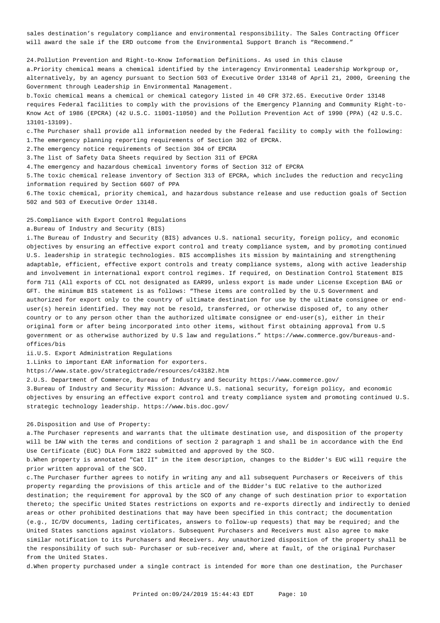sales destination's regulatory compliance and environmental responsibility. The Sales Contracting Officer will award the sale if the ERD outcome from the Environmental Support Branch is "Recommend."

24. Pollution Prevention and Right-to-Know Information Definitions. As used in this clause

a. Priority chemical means a chemical identified by the interagency Environmental Leadership Workgroup or, alternatively, by an agency pursuant to Section 503 of Executive Order 13148 of April 21, 2000, Greening the Government through Leadership in Environmental Management.

b. Toxic chemical means a chemical or chemical category listed in 40 CFR 372.65. Executive Order 13148 requires Federal facilities to comply with the provisions of the Emergency Planning and Community Right-to-Know Act of 1986 (EPCRA) (42 U.S.C. 11001-11050) and the Pollution Prevention Act of 1990 (PPA) (42 U.S.C. 13101-13109).

c. The Purchaser shall provide all information needed by the Federal facility to comply with the following:

1. The emergency planning reporting requirements of Section 302 of EPCRA.

2. The emergency notice requirements of Section 304 of EPCRA

3. The list of Safety Data Sheets required by Section 311 of EPCRA

4. The emergency and hazardous chemical inventory forms of Section 312 of EPCRA

5. The toxic chemical release inventory of Section 313 of EPCRA, which includes the reduction and recycling information required by Section 6607 of PPA

6. The toxic chemical, priority chemical, and hazardous substance release and use reduction goals of Section 502 and 503 of Executive Order 13148.

#### 25. Compliance with Export Control Regulations

a. Bureau of Industry and Security (BIS)

i. The Bureau of Industry and Security (BIS) advances U.S. national security, foreign policy, and economic objectives by ensuring an effective export control and treaty compliance system, and by promoting continued U.S. leadership in strategic technologies. BIS accomplishes its mission by maintaining and strengthening adaptable, efficient, effective export controls and treaty compliance systems, along with active leadership and involvement in international export control regimes. If required, on Destination Control Statement BIS form 711 (All exports of CCL not designated as EAR99, unless export is made under License Exception BAG or GFT. the minimum BIS statement is as follows: "These items are controlled by the U.S Government and authorized for export only to the country of ultimate destination for use by the ultimate consignee or enduser(s) herein identified. They may not be resold, transferred, or otherwise disposed of, to any other country or to any person other than the authorized ultimate consignee or end-user(s), either in their original form or after being incorporated into other items, without first obtaining approval from U.S government or as otherwise authorized by U.S law and regulations." <https://www.commerce.gov/bureaus-and>offices/bis

ii. U.S. Export Administration Regulations

1. Links to important EAR information for exporters.

<https://www.state.gov/strategictrade/resources/c43182.htm>

2. U.S. Department of Commerce, Bureau of Industry and Security<https://www.commerce.gov>/

3. Bureau of Industry and Security Mission: Advance U.S. national security, foreign policy, and economic objectives by ensuring an effective export control and treaty compliance system and promoting continued U.S. strategic technology leadership. [https://www.bis.doc.gov/](https://www.bis.doc.gov)

## 26. Disposition and Use of Property:

a. The Purchaser represents and warrants that the ultimate destination use, and disposition of the property will be IAW with the terms and conditions of section 2 paragraph 1 and shall be in accordance with the End Use Certificate (EUC) DLA Form 1822 submitted and approved by the SCO.

b. When property is annotated "Cat II" in the item description, changes to the Bidder's EUC will require the prior written approval of the SCO.

c. The Purchaser further agrees to notify in writing any and all subsequent Purchasers or Receivers of this property regarding the provisions of this article and of the Bidder's EUC relative to the authorized destination; the requirement for approval by the SCO of any change of such destination prior to exportation thereto; the specific United States restrictions on exports and re-exports directly and indirectly to denied areas or other prohibited destinations that may have been specified in this contract; the documentation (e.g., IC/DV documents, lading certificates, answers to follow-up requests) that may be required; and the United States sanctions against violators. Subsequent Purchasers and Receivers must also agree to make similar notification to its Purchasers and Receivers. Any unauthorized disposition of the property shall be the responsibility of such sub- Purchaser or sub-receiver and, where at fault, of the original Purchaser from the United States.

d. When property purchased under a single contract is intended for more than one destination, the Purchaser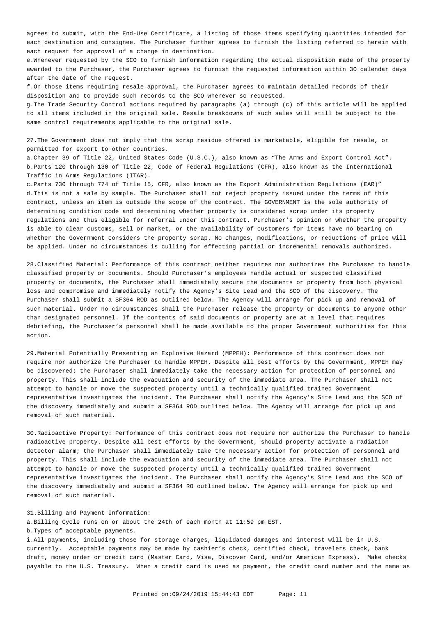agrees to submit, with the End-Use Certificate, a listing of those items specifying quantities intended for each destination and consignee. The Purchaser further agrees to furnish the listing referred to herein with each request for approval of a change in destination.

e. Whenever requested by the SCO to furnish information regarding the actual disposition made of the property awarded to the Purchaser, the Purchaser agrees to furnish the requested information within 30 calendar days after the date of the request.

f. On those items requiring resale approval, the Purchaser agrees to maintain detailed records of their disposition and to provide such records to the SCO whenever so requested.

g. The Trade Security Control actions required by paragraphs (a) through (c) of this article will be applied to all items included in the original sale. Resale breakdowns of such sales will still be subject to the same control requirements applicable to the original sale.

27. The Government does not imply that the scrap residue offered is marketable, eligible for resale, or permitted for export to other countries.

a. Chapter 39 of Title 22, United States Code (U.S.C.), also known as "The Arms and Export Control Act". b. Parts 120 through 130 of Title 22, Code of Federal Regulations (CFR), also known as the International Traffic in Arms Regulations (ITAR).

c. Parts 730 through 774 of Title 15, CFR, also known as the Export Administration Regulations (EAR)" d. This is not a sale by sample. The Purchaser shall not reject property issued under the terms of this contract, unless an item is outside the scope of the contract. The GOVERNMENT is the sole authority of determining condition code and determining whether property is considered scrap under its property regulations and thus eligible for referral under this contract. Purchaser's opinion on whether the property is able to clear customs, sell or market, or the availability of customers for items have no bearing on whether the Government considers the property scrap. No changes, modifications, or reductions of price will be applied. Under no circumstances is culling for effecting partial or incremental removals authorized.

28. Classified Material: Performance of this contract neither requires nor authorizes the Purchaser to handle classified property or documents. Should Purchaser's employees handle actual or suspected classified property or documents, the Purchaser shall immediately secure the documents or property from both physical loss and compromise and immediately notify the Agency's Site Lead and the SCO of the discovery. The Purchaser shall submit a SF364 ROD as outlined below. The Agency will arrange for pick up and removal of such material. Under no circumstances shall the Purchaser release the property or documents to anyone other than designated personnel. If the contents of said documents or property are at a level that requires debriefing, the Purchaser's personnel shall be made available to the proper Government authorities for this action.

29. Material Potentially Presenting an Explosive Hazard (MPPEH): Performance of this contract does not require nor authorize the Purchaser to handle MPPEH. Despite all best efforts by the Government, MPPEH may be discovered; the Purchaser shall immediately take the necessary action for protection of personnel and property. This shall include the evacuation and security of the immediate area. The Purchaser shall not attempt to handle or move the suspected property until a technically qualified trained Government representative investigates the incident. The Purchaser shall notify the Agency's Site Lead and the SCO of the discovery immediately and submit a SF364 ROD outlined below. The Agency will arrange for pick up and removal of such material.

30. Radioactive Property: Performance of this contract does not require nor authorize the Purchaser to handle radioactive property. Despite all best efforts by the Government, should property activate a radiation detector alarm; the Purchaser shall immediately take the necessary action for protection of personnel and property. This shall include the evacuation and security of the immediate area. The Purchaser shall not attempt to handle or move the suspected property until a technically qualified trained Government representative investigates the incident. The Purchaser shall notify the Agency's Site Lead and the SCO of the discovery immediately and submit a SF364 RO outlined below. The Agency will arrange for pick up and removal of such material.

31. Billing and Payment Information:

a. Billing Cycle runs on or about the 24th of each month at 11:59 pm EST.

b. Types of acceptable payments.

i. All payments, including those for storage charges, liquidated damages and interest will be in U.S. currently. Acceptable payments may be made by cashier's check, certified check, travelers check, bank draft, money order or credit card (Master Card, Visa, Discover Card, and/or American Express). Make checks payable to the U.S. Treasury. When a credit card is used as payment, the credit card number and the name as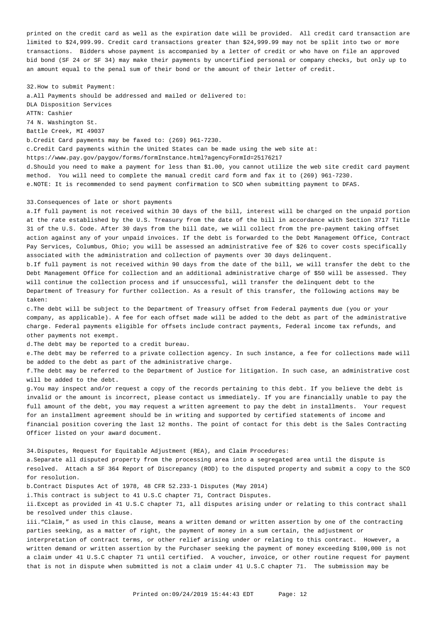printed on the credit card as well as the expiration date will be provided. All credit card transaction are limited to \$[24,999.99.](https://24,999.99) Credit card transactions greater than \$[24,999.99](https://24,999.99) may not be split into two or more transactions. Bidders whose payment is accompanied by a letter of credit or who have on file an approved bid bond (SF 24 or SF 34) may make their payments by uncertified personal or company checks, but only up to an amount equal to the penal sum of their bond or the amount of their letter of credit.

32. How to submit Payment:

a. All Payments should be addressed and mailed or delivered to: DLA Disposition Services ATTN: Cashier 74 N. Washington St. Battle Creek, MI 49037

b. Credit Card payments may be faxed to: (269) 961-7230.

c. Credit Card payments within the United States can be made using the web site at:

<https://www.pay.gov/paygov/forms/formInstance.html?agencyFormId=25176217>

d. Should you need to make a payment for less than \$1.00, you cannot utilize the web site credit card payment method. You will need to complete the manual credit card form and fax it to (269) 961-7230. e. NOTE: It is recommended to send payment confirmation to SCO when submitting payment to DFAS.

#### 33. Consequences of late or short payments

a. If full payment is not received within 30 days of the bill, interest will be charged on the unpaid portion at the rate established by the U.S. Treasury from the date of the bill in accordance with Section 3717 Title 31 of the U.S. Code. After 30 days from the bill date, we will collect from the pre-payment taking offset action against any of your unpaid invoices. If the debt is forwarded to the Debt Management Office, Contract Pay Services, Columbus, Ohio; you will be assessed an administrative fee of \$26 to cover costs specifically associated with the administration and collection of payments over 30 days delinquent.

b. If full payment is not received within 90 days from the date of the bill, we will transfer the debt to the Debt Management Office for collection and an additional administrative charge of \$50 will be assessed. They will continue the collection process and if unsuccessful, will transfer the delinquent debt to the Department of Treasury for further collection. As a result of this transfer, the following actions may be taken:

c. The debt will be subject to the Department of Treasury offset from Federal payments due (you or your company, as applicable). A fee for each offset made will be added to the debt as part of the administrative charge. Federal payments eligible for offsets include contract payments, Federal income tax refunds, and other payments not exempt.

d. The debt may be reported to a credit bureau.

e. The debt may be referred to a private collection agency. In such instance, a fee for collections made will be added to the debt as part of the administrative charge.

f. The debt may be referred to the Department of Justice for litigation. In such case, an administrative cost will be added to the debt.

g. You may inspect and/or request a copy of the records pertaining to this debt. If you believe the debt is invalid or the amount is incorrect, please contact us immediately. If you are financially unable to pay the full amount of the debt, you may request a written agreement to pay the debt in installments. Your request for an installment agreement should be in writing and supported by certified statements of income and financial position covering the last 12 months. The point of contact for this debt is the Sales Contracting Officer listed on your award document.

34. Disputes, Request for Equitable Adjustment (REA), and Claim Procedures:

a. Separate all disputed property from the processing area into a segregated area until the dispute is resolved. Attach a SF 364 Report of Discrepancy (ROD) to the disputed property and submit a copy to the SCO for resolution.

b. Contract Disputes Act of 1978, 48 CFR 52.233-1 Disputes (May 2014)

i. This contract is subject to 41 U.S.C chapter 71, Contract Disputes.

ii. Except as provided in 41 U.S.C chapter 71, all disputes arising under or relating to this contract shall be resolved under this clause.

iii. "Claim," as used in this clause, means a written demand or written assertion by one of the contracting parties seeking, as a matter of right, the payment of money in a sum certain, the adjustment or

interpretation of contract terms, or other relief arising under or relating to this contract. However, a written demand or written assertion by the Purchaser seeking the payment of money exceeding \$100,000 is not a claim under 41 U.S.C chapter 71 until certified. A voucher, invoice, or other routine request for payment that is not in dispute when submitted is not a claim under 41 U.S.C chapter 71. The submission may be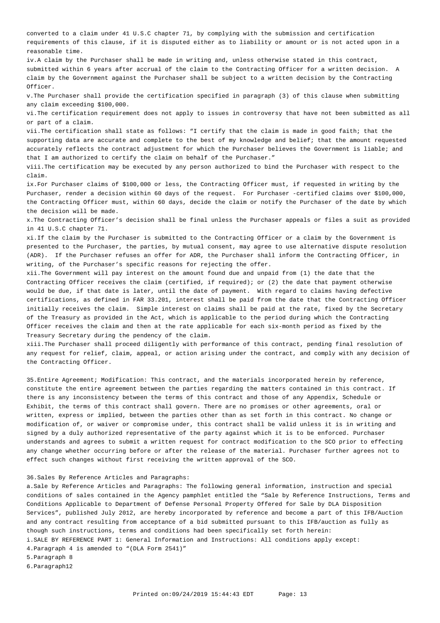converted to a claim under 41 U.S.C chapter 71, by complying with the submission and certification requirements of this clause, if it is disputed either as to liability or amount or is not acted upon in a reasonable time.

iv. A claim by the Purchaser shall be made in writing and, unless otherwise stated in this contract, submitted within 6 years after accrual of the claim to the Contracting Officer for a written decision. A claim by the Government against the Purchaser shall be subject to a written decision by the Contracting Officer.

v. The Purchaser shall provide the certification specified in paragraph (3) of this clause when submitting any claim exceeding \$100,000.

vi. The certification requirement does not apply to issues in controversy that have not been submitted as all or part of a claim.

vii. The certification shall state as follows: "I certify that the claim is made in good faith; that the supporting data are accurate and complete to the best of my knowledge and belief; that the amount requested accurately reflects the contract adjustment for which the Purchaser believes the Government is liable; and that I am authorized to certify the claim on behalf of the Purchaser."

viii. The certification may be executed by any person authorized to bind the Purchaser with respect to the claim.

ix. For Purchaser claims of \$100,000 or less, the Contracting Officer must, if requested in writing by the Purchaser, render a decision within 60 days of the request. For Purchaser -certified claims over \$100,000, the Contracting Officer must, within 60 days, decide the claim or notify the Purchaser of the date by which the decision will be made.

x. The Contracting Officer's decision shall be final unless the Purchaser appeals or files a suit as provided in 41 U.S.C chapter 71.

xi. If the claim by the Purchaser is submitted to the Contracting Officer or a claim by the Government is presented to the Purchaser, the parties, by mutual consent, may agree to use alternative dispute resolution (ADR). If the Purchaser refuses an offer for ADR, the Purchaser shall inform the Contracting Officer, in writing, of the Purchaser's specific reasons for rejecting the offer.

xii. The Government will pay interest on the amount found due and unpaid from (1) the date that the Contracting Officer receives the claim (certified, if required); or (2) the date that payment otherwise would be due, if that date is later, until the date of payment. With regard to claims having defective certifications, as defined in FAR 33.201, interest shall be paid from the date that the Contracting Officer initially receives the claim. Simple interest on claims shall be paid at the rate, fixed by the Secretary of the Treasury as provided in the Act, which is applicable to the period during which the Contracting Officer receives the claim and then at the rate applicable for each six-month period as fixed by the Treasury Secretary during the pendency of the claim.

xiii. The Purchaser shall proceed diligently with performance of this contract, pending final resolution of any request for relief, claim, appeal, or action arising under the contract, and comply with any decision of the Contracting Officer.

35. Entire Agreement; Modification: This contract, and the materials incorporated herein by reference, constitute the entire agreement between the parties regarding the matters contained in this contract. If there is any inconsistency between the terms of this contract and those of any Appendix, Schedule or Exhibit, the terms of this contract shall govern. There are no promises or other agreements, oral or written, express or implied, between the parties other than as set forth in this contract. No change or modification of, or waiver or compromise under, this contract shall be valid unless it is in writing and signed by a duly authorized representative of the party against which it is to be enforced. Purchaser understands and agrees to submit a written request for contract modification to the SCO prior to effecting any change whether occurring before or after the release of the material. Purchaser further agrees not to effect such changes without first receiving the written approval of the SCO.

36. Sales By Reference Articles and Paragraphs:

a. Sale by Reference Articles and Paragraphs: The following general information, instruction and special conditions of sales contained in the Agency pamphlet entitled the "Sale by Reference Instructions, Terms and Conditions Applicable to Department of Defense Personal Property Offered for Sale by DLA Disposition Services", published July 2012, are hereby incorporated by reference and become a part of this IFB/Auction and any contract resulting from acceptance of a bid submitted pursuant to this IFB/auction as fully as though such instructions, terms and conditions had been specifically set forth herein:

i. SALE BY REFERENCE PART 1: General Information and Instructions: All conditions apply except:

4. Paragraph 4 is amended to "(DLA Form 2541)"

5. Paragraph 8

6. Paragraph12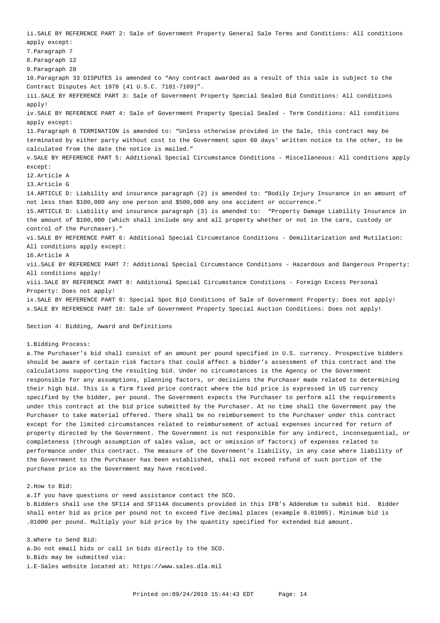ii. SALE BY REFERENCE PART 2: Sale of Government Property General Sale Terms and Conditions: All conditions apply except: 7. Paragraph 7 8. Paragraph 12 9. Paragraph 28 10. Paragraph 33 DISPUTES is amended to "Any contract awarded as a result of this sale is subject to the Contract Disputes Act 1978 (41 U.S.C. 7101-7109)". iii. SALE BY REFERENCE PART 3: Sale of Government Property Special Sealed Bid Conditions: All conditions apply! iv. SALE BY REFERENCE PART 4: Sale of Government Property Special Sealed - Term Conditions: All conditions apply except: 11. Paragraph 6 TERMINATION is amended to: "Unless otherwise provided in the Sale, this contract may be terminated by either party without cost to the Government upon 60 days' written notice to the other, to be calculated from the date the notice is mailed." v. SALE BY REFERENCE PART 5: Additional Special Circumstance Conditions - Miscellaneous: All conditions apply except: 12. Article A 13. Article G 14. ARTICLE D: Liability and insurance paragraph (2) is amended to: "Bodily Injury Insurance in an amount of not less than \$100,000 any one person and \$500,000 any one accident or occurrence." 15. ARTICLE D: Liability and insurance paragraph (3) is amended to: "Property Damage Liability Insurance in the amount of \$100,000 (which shall include any and all property whether or not in the care, custody or control of the Purchaser)." vi. SALE BY REFERENCE PART 6: Additional Special Circumstance Conditions - Demilitarization and Mutilation: All conditions apply except: 16. Article A vii. SALE BY REFERENCE PART 7: Additional Special Circumstance Conditions - Hazardous and Dangerous Property: All conditions apply! viii. SALE BY REFERENCE PART 8: Additional Special Circumstance Conditions - Foreign Excess Personal Property: Does not apply! ix. SALE BY REFERENCE PART 9: Special Spot Bid Conditions of Sale of Government Property: Does not apply!

Section 4: Bidding, Award and Definitions

## 1. Bidding Process:

a. The Purchaser's bid shall consist of an amount per pound specified in U.S. currency. Prospective bidders should be aware of certain risk factors that could affect a bidder's assessment of this contract and the calculations supporting the resulting bid. Under no circumstances is the Agency or the Government responsible for any assumptions, planning factors, or decisions the Purchaser made related to determining their high bid. This is a firm fixed price contract where the bid price is expressed in US currency specified by the bidder, per pound. The Government expects the Purchaser to perform all the requirements under this contract at the bid price submitted by the Purchaser. At no time shall the Government pay the Purchaser to take material offered. There shall be no reimbursement to the Purchaser under this contract except for the limited circumstances related to reimbursement of actual expenses incurred for return of property directed by the Government. The Government is not responsible for any indirect, inconsequential, or completeness (through assumption of sales value, act or omission of factors) of expenses related to performance under this contract. The measure of the Government's liability, in any case where liability of the Government to the Purchaser has been established, shall not exceed refund of such portion of the purchase price as the Government may have received.

x. SALE BY REFERENCE PART 10: Sale of Government Property Special Auction Conditions: Does not apply!

### 2. How to Bid:

a. If you have questions or need assistance contact the SCO.

b. Bidders shall use the SF114 and SF114A documents provided in this IFB's Addendum to submit bid. Bidder shall enter bid as price per pound not to exceed five decimal places (example 0.01005). Minimum bid is .01000 per pound. Multiply your bid price by the quantity specified for extended bid amount.

3. Where to Send Bid:

a. Do not email bids or call in bids directly to the SCO.

b. Bids may be submitted via:

i. E-Sales website located at: <https://www.sales.dla.mil>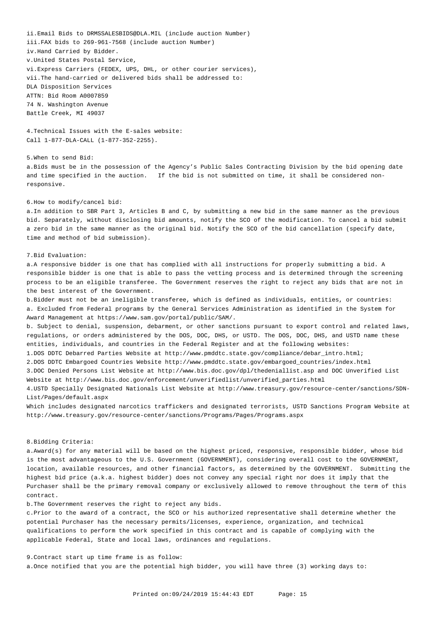ii. Email Bids to [DRMSSALESBIDS@DLA.MIL](mailto:DRMSSALESBIDS@DLA.MIL) (include auction Number) iii. FAX bids to 269-961-7568 (include auction Number) iv. Hand Carried by Bidder. v. United States Postal Service, vi. Express Carriers (FEDEX, UPS, DHL, or other courier services), vii. The hand-carried or delivered bids shall be addressed to: DLA Disposition Services ATTN: Bid Room A0007859 74 N. Washington Avenue Battle Creek, MI 49037

4. Technical Issues with the E-sales website: Call 1-877-DLA-CALL (1-877-352-2255).

5. When to send Bid: a. Bids must be in the possession of the Agency's Public Sales Contracting Division by the bid opening date and time specified in the auction. If the bid is not submitted on time, it shall be considered nonresponsive.

#### 6. How to modify/cancel bid:

a. In addition to SBR Part 3, Articles B and C, by submitting a new bid in the same manner as the previous bid. Separately, without disclosing bid amounts, notify the SCO of the modification. To cancel a bid submit a zero bid in the same manner as the original bid. Notify the SCO of the bid cancellation (specify date, time and method of bid submission).

### 7. Bid Evaluation:

a. A responsive bidder is one that has complied with all instructions for properly submitting a bid. A responsible bidder is one that is able to pass the vetting process and is determined through the screening process to be an eligible transferee. The Government reserves the right to reject any bids that are not in the best interest of the Government.

b. Bidder must not be an ineligible transferee, which is defined as individuals, entities, or countries: a. Excluded from Federal programs by the General Services Administration as identified in the System for Award Management at [https://www.sam.gov/portal/public/SAM/](https://www.sam.gov/portal/public/SAM).

 b. Subject to denial, suspension, debarment, or other sanctions pursuant to export control and related laws, regulations, or orders administered by the DOS, DOC, DHS, or USTD. The DOS, DOC, DHS, and USTD name these entities, individuals, and countries in the Federal Register and at the following websites:

1. DOS DDTC Debarred Parties Website at [http://www.pmddtc.state.gov/compliance/debar\\_intro.html](http://www.pmddtc.state.gov/compliance/debar_intro.html);

2. DOS DDTC Embargoed Countries Website [http://www.pmddtc.state.gov/embargoed\\_countries/index.html](http://www.pmddtc.state.gov/embargoed_countries/index.html)

3. DOC Denied Persons List Website at<http://www.bis.doc.gov/dpl/thedeniallist.asp>and DOC Unverified List Website at [http://www.bis.doc.gov/enforcement/unverifiedlist/unverified\\_parties.html](http://www.bis.doc.gov/enforcement/unverifiedlist/unverified_parties.html)

4. USTD Specially Designated Nationals List Website at<http://www.treasury.gov/resource-center/sanctions/SDN>-List/Pages/default.aspx

Which includes designated narcotics traffickers and designated terrorists, USTD Sanctions Program Website at <http://www.treasury.gov/resource-center/sanctions/Programs/Pages/Programs.aspx>

## 8. Bidding Criteria:

a. Award(s) for any material will be based on the highest priced, responsive, responsible bidder, whose bid is the most advantageous to the U.S. Government (GOVERNMENT), considering overall cost to the GOVERNMENT, location, available resources, and other financial factors, as determined by the GOVERNMENT. Submitting the highest bid price (a.k.a. highest bidder) does not convey any special right nor does it imply that the Purchaser shall be the primary removal company or exclusively allowed to remove throughout the term of this contract.

b. The Government reserves the right to reject any bids.

c. Prior to the award of a contract, the SCO or his authorized representative shall determine whether the potential Purchaser has the necessary permits/licenses, experience, organization, and technical qualifications to perform the work specified in this contract and is capable of complying with the applicable Federal, State and local laws, ordinances and regulations.

9. Contract start up time frame is as follow:

a. Once notified that you are the potential high bidder, you will have three (3) working days to: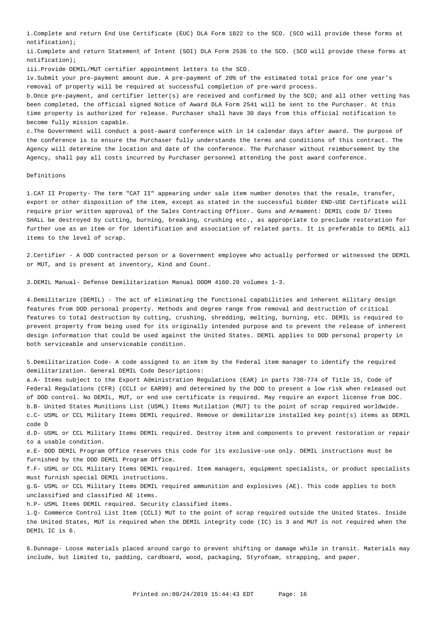i. Complete and return End Use Certificate (EUC) DLA Form 1822 to the SCO. (SCO will provide these forms at notification);

ii. Complete and return Statement of Intent (SOI) DLA Form 2536 to the SCO. (SCO will provide these forms at notification);

iii. Provide DEMIL/MUT certifier appointment letters to the SCO.

iv. Submit your pre-payment amount due. A pre-payment of 20% of the estimated total price for one year's removal of property will be required at successful completion of pre-ward process.

b. Once pre-payment, and certifier letter(s) are received and confirmed by the SCO; and all other vetting has been completed, the official signed Notice of Award DLA Form 2541 will be sent to the Purchaser. At this time property is authorized for release. Purchaser shall have 30 days from this official notification to become fully mission capable.

c. The Government will conduct a post-award conference with in 14 calendar days after award. The purpose of the conference is to ensure the Purchaser fully understands the terms and conditions of this contract. The Agency will determine the location and date of the conference. The Purchaser without reimbursement by the Agency, shall pay all costs incurred by Purchaser personnel attending the post award conference.

## Definitions

1. CAT II Property- The term "CAT II" appearing under sale item number denotes that the resale, transfer, export or other disposition of the item, except as stated in the successful bidder END-USE Certificate will require prior written approval of the Sales Contracting Officer. Guns and Armament: DEMIL code D/ Items SHALL be destroyed by cutting, burning, breaking, crushing etc., as appropriate to preclude restoration for further use as an item or for identification and association of related parts. It is preferable to DEMIL all items to the level of scrap.

2. Certifier - A DOD contracted person or a Government employee who actually performed or witnessed the DEMIL or MUT, and is present at inventory, Kind and Count.

3. DEMIL Manual- Defense Demilitarization Manual DODM 4160.28 volumes 1-3.

4. Demilitarize (DEMIL) - The act of eliminating the functional capabilities and inherent military design features from DOD personal property. Methods and degree range from removal and destruction of critical features to total destruction by cutting, crushing, shredding, melting, burning, etc. DEMIL is required to prevent property from being used for its originally intended purpose and to prevent the release of inherent design information that could be used against the United States. DEMIL applies to DOD personal property in both serviceable and unserviceable condition.

5. Demilitarization Code- A code assigned to an item by the Federal item manager to identify the required demilitarization. General DEMIL Code Descriptions:

a. A- Items subject to the Export Administration Regulations (EAR) in parts 730-774 of Title 15, Code of Federal Regulations (CFR) (CCLI or EAR99) and determined by the DOD to present a low risk when released out of DOD control. No DEMIL, MUT, or end use certificate is required. May require an export license from DOC. b. B- United States Munitions List (USML) Items Mutilation (MUT) to the point of scrap required worldwide. c. C- USML or CCL Military Items DEMIL required. Remove or demilitarize installed key point(s) items as DEMIL code D

d. D- USML or CCL Military Items DEMIL required. Destroy item and components to prevent restoration or repair to a usable condition.

e. E- DOD DEMIL Program Office reserves this code for its exclusive-use only. DEMIL instructions must be furnished by the DOD DEMIL Program Office.

f. F- USML or CCL Military Items DEMIL required. Item managers, equipment specialists, or product specialists must furnish special DEMIL instructions.

g. G- USML or CCL Military Items DEMIL required ammunition and explosives (AE). This code applies to both unclassified and classified AE items.

h. P- USML Items DEMIL required. Security classified items.

i. Q- Commerce Control List Item (CCLI) MUT to the point of scrap required outside the United States. Inside the United States, MUT is required when the DEMIL integrity code (IC) is 3 and MUT is not required when the DEMIL IC is 6.

6. Dunnage- Loose materials placed around cargo to prevent shifting or damage while in transit. Materials may include, but limited to, padding, cardboard, wood, packaging, Styrofoam, strapping, and paper.